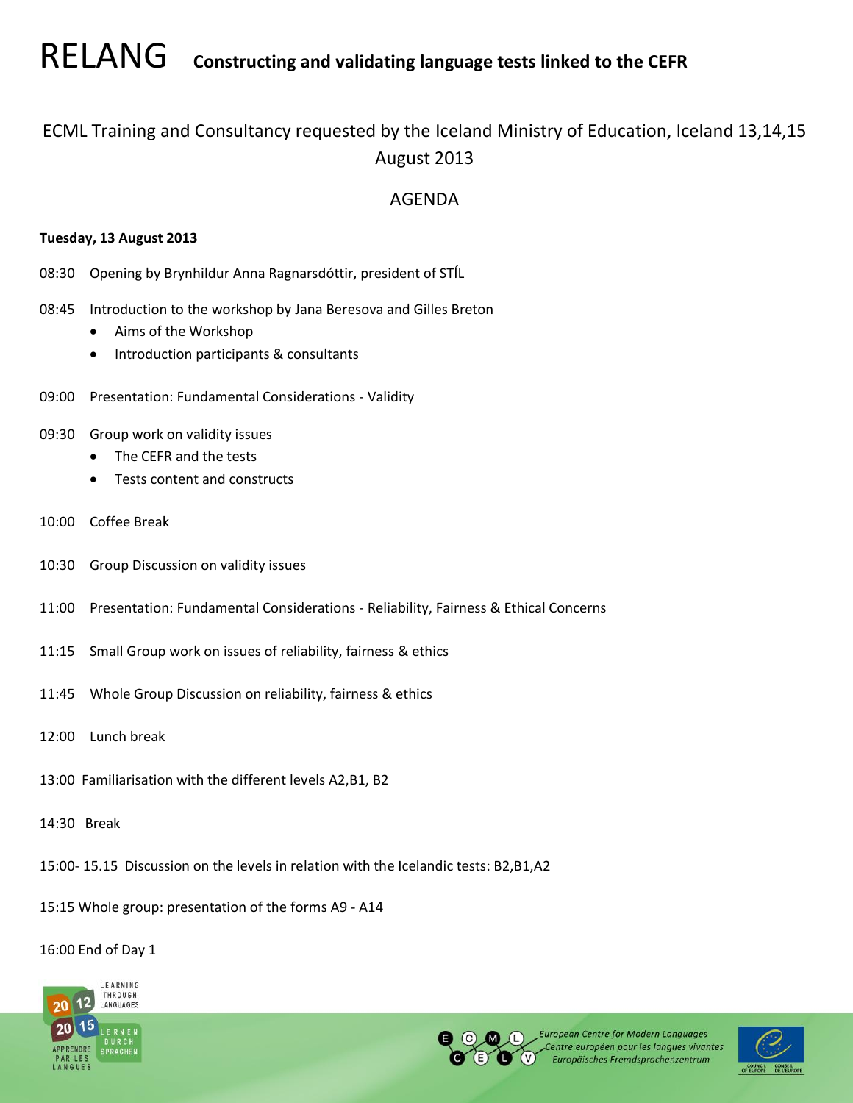RELANG **Constructing and validating language tests linked to the CEFR**

# ECML Training and Consultancy requested by the Iceland Ministry of Education, Iceland 13,14,15 August 2013

# AGENDA

## **Tuesday, 13 August 2013**

- 08:30 Opening by Brynhildur Anna Ragnarsdóttir, president of STÍL
- 08:45 Introduction to the workshop by Jana Beresova and Gilles Breton
	- Aims of the Workshop
	- Introduction participants & consultants
- 09:00 Presentation: Fundamental Considerations Validity
- 09:30 Group work on validity issues
	- The CEFR and the tests
	- **•** Tests content and constructs
- 10:00 Coffee Break
- 10:30 Group Discussion on validity issues
- 11:00 Presentation: Fundamental Considerations Reliability, Fairness & Ethical Concerns
- 11:15 Small Group work on issues of reliability, fairness & ethics
- 11:45 Whole Group Discussion on reliability, fairness & ethics
- 12:00 Lunch break
- 13:00 Familiarisation with the different levels A2,B1, B2
- 14:30 Break
- 15:00- 15.15 Discussion on the levels in relation with the Icelandic tests: B2,B1,A2
- 15:15 Whole group: presentation of the forms A9 A14

## 16:00 End of Day 1





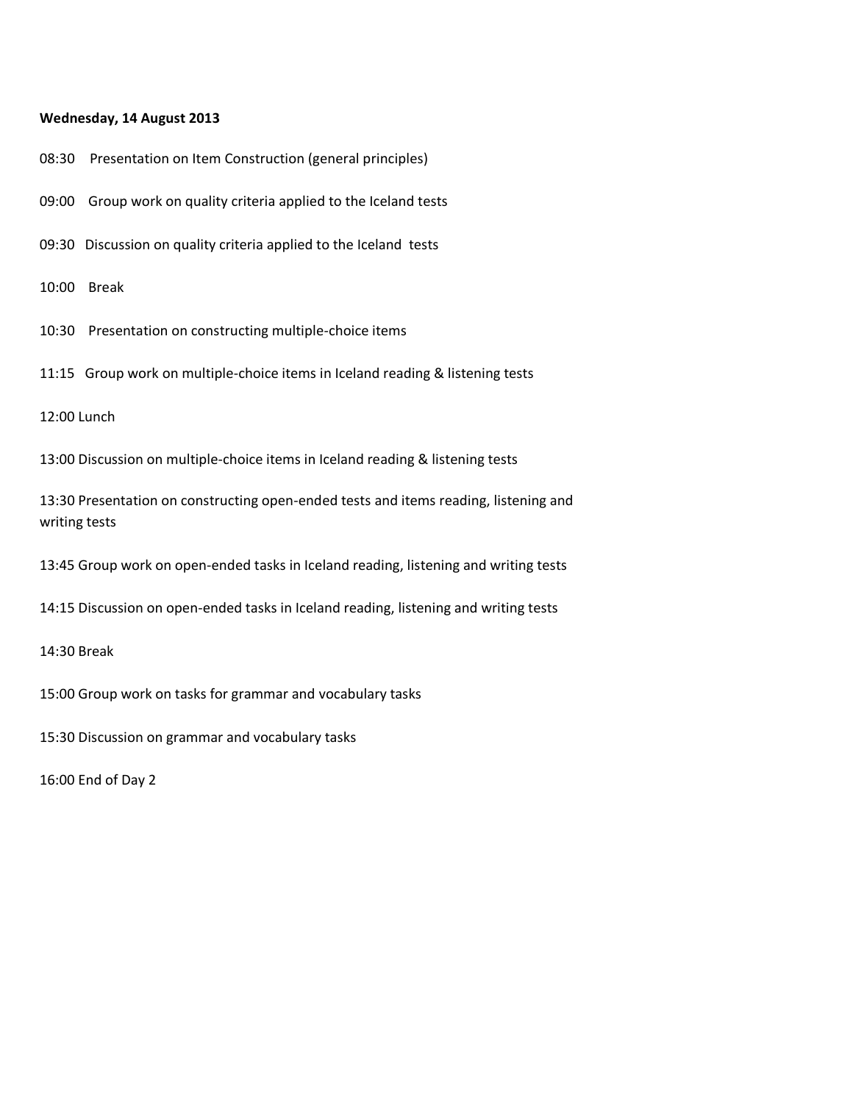#### **Wednesday, 14 August 2013**

- 08:30 Presentation on Item Construction (general principles)
- 09:00 Group work on quality criteria applied to the Iceland tests
- 09:30 Discussion on quality criteria applied to the Iceland tests
- 10:00 Break
- 10:30 Presentation on constructing multiple-choice items
- 11:15 Group work on multiple-choice items in Iceland reading & listening tests

12:00 Lunch

13:00 Discussion on multiple-choice items in Iceland reading & listening tests

13:30 Presentation on constructing open-ended tests and items reading, listening and writing tests

13:45 Group work on open-ended tasks in Iceland reading, listening and writing tests

14:15 Discussion on open-ended tasks in Iceland reading, listening and writing tests

14:30 Break

15:00 Group work on tasks for grammar and vocabulary tasks

15:30 Discussion on grammar and vocabulary tasks

16:00 End of Day 2